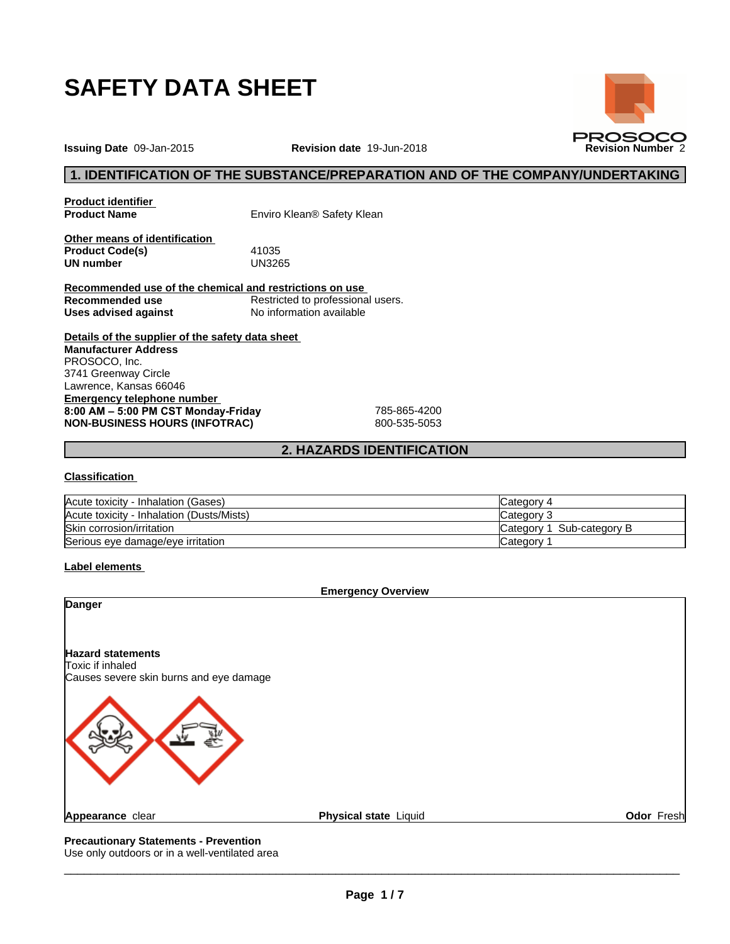

**Issuing Date** 09-Jan-2015 **Revision date** 19-Jun-2018 **Revision Number** 2

## **1. IDENTIFICATION OF THE SUBSTANCE/PREPARATION AND OF THE COMPANY/UNDERTAKING**

**PROSOCO** 

**Product identifier**

**Product Name** Enviro Klean® Safety Klean

**Other means of identification Product Code(s)** 41035<br> **UN number** UN3265 **UN number** 

**Recommended use of the chemical and restrictions on use Recommended use** Restricted to professional users. **Uses advised against** No information available

**Details of the supplier of the safety data sheet Emergency telephone number 8:00AM–5:00PMCSTMonday-Friday** 785-865-4200 **NON-BUSINESS HOURS (INFOTRAC)** 800-535-5053 **Manufacturer Address** PROSOCO, Inc. 3741 Greenway Circle Lawrence, Kansas 66046

## **2. HAZARDS IDENTIFICATION**

#### **Classification**

| Acute toxicity - Inhalation (Gases)       | Category 4                 |
|-------------------------------------------|----------------------------|
| Acute toxicity - Inhalation (Dusts/Mists) | Category 3                 |
| Skin corrosion/irritation                 | Sub-category B<br>∟ategor∨ |
| Serious eye damage/eye irritation         | ∟ategor∨                   |

#### **Label elements**



Use only outdoors or in a well-ventilated area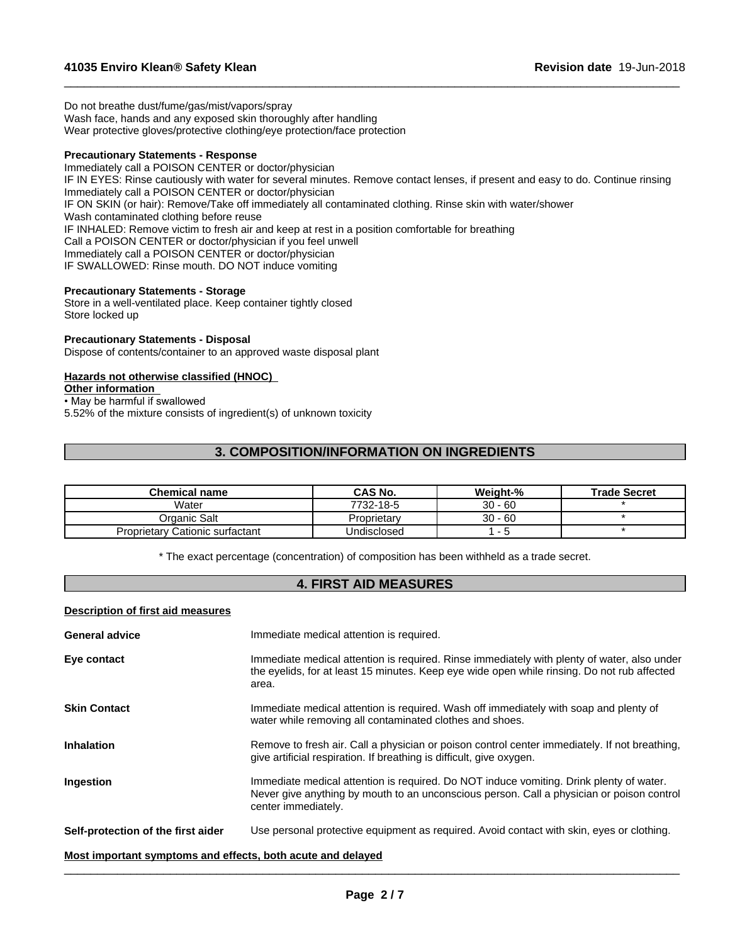Do not breathe dust/fume/gas/mist/vapors/spray Wash face, hands and any exposed skin thoroughly after handling Wear protective gloves/protective clothing/eye protection/face protection

#### **Precautionary Statements - Response**

Immediately call a POISON CENTER or doctor/physician IF IN EYES: Rinse cautiously with water for several minutes. Remove contact lenses, if present and easy to do. Continue rinsing Immediately call a POISON CENTER or doctor/physician IF ON SKIN (or hair): Remove/Take off immediately all contaminated clothing. Rinse skin with water/shower Wash contaminated clothing before reuse IF INHALED: Remove victim to fresh air and keep at rest in a position comfortable for breathing Call a POISON CENTER or doctor/physician if you feel unwell Immediately call a POISON CENTER or doctor/physician IF SWALLOWED: Rinse mouth. DO NOT induce vomiting

 $\_$  ,  $\_$  ,  $\_$  ,  $\_$  ,  $\_$  ,  $\_$  ,  $\_$  ,  $\_$  ,  $\_$  ,  $\_$  ,  $\_$  ,  $\_$  ,  $\_$  ,  $\_$  ,  $\_$  ,  $\_$  ,  $\_$  ,  $\_$  ,  $\_$  ,  $\_$  ,  $\_$  ,  $\_$  ,  $\_$  ,  $\_$  ,  $\_$  ,  $\_$  ,  $\_$  ,  $\_$  ,  $\_$  ,  $\_$  ,  $\_$  ,  $\_$  ,  $\_$  ,  $\_$  ,  $\_$  ,  $\_$  ,  $\_$  ,

#### **Precautionary Statements - Storage**

Store in a well-ventilated place. Keep container tightly closed Store locked up

#### **Precautionary Statements - Disposal**

Dispose of contents/container to an approved waste disposal plant

### **Hazards not otherwise classified (HNOC)**

## **Other information**

• May be harmful if swallowed

5.52% of the mixture consists of ingredient(s) of unknown toxicity

## **3. COMPOSITION/INFORMATION ON INGREDIENTS**

| Chemical name                          | CAS No.     | Weight-%  | <b>Trade Secret</b> |
|----------------------------------------|-------------|-----------|---------------------|
| Water                                  | 7732-18-5   | $30 - 60$ |                     |
| Organic Salt                           | Proprietary | $30 - 60$ |                     |
| <b>Proprietary Cationic surfactant</b> | Undisclosed |           |                     |

\* The exact percentage (concentration) ofcomposition has been withheld as a trade secret.

#### **4. FIRST AID MEASURES**

#### **Description of first aid measures**

| <b>General advice</b>                                       | Immediate medical attention is required.                                                                                                                                                                    |
|-------------------------------------------------------------|-------------------------------------------------------------------------------------------------------------------------------------------------------------------------------------------------------------|
| Eye contact                                                 | Immediate medical attention is required. Rinse immediately with plenty of water, also under<br>the eyelids, for at least 15 minutes. Keep eye wide open while rinsing. Do not rub affected<br>area.         |
| <b>Skin Contact</b>                                         | Immediate medical attention is required. Wash off immediately with soap and plenty of<br>water while removing all contaminated clothes and shoes.                                                           |
| Inhalation                                                  | Remove to fresh air. Call a physician or poison control center immediately. If not breathing,<br>give artificial respiration. If breathing is difficult, give oxygen.                                       |
| <b>Ingestion</b>                                            | Immediate medical attention is required. Do NOT induce vomiting. Drink plenty of water.<br>Never give anything by mouth to an unconscious person. Call a physician or poison control<br>center immediately. |
| Self-protection of the first aider                          | Use personal protective equipment as required. Avoid contact with skin, eyes or clothing.                                                                                                                   |
| Most important symptoms and effects, both acute and delayed |                                                                                                                                                                                                             |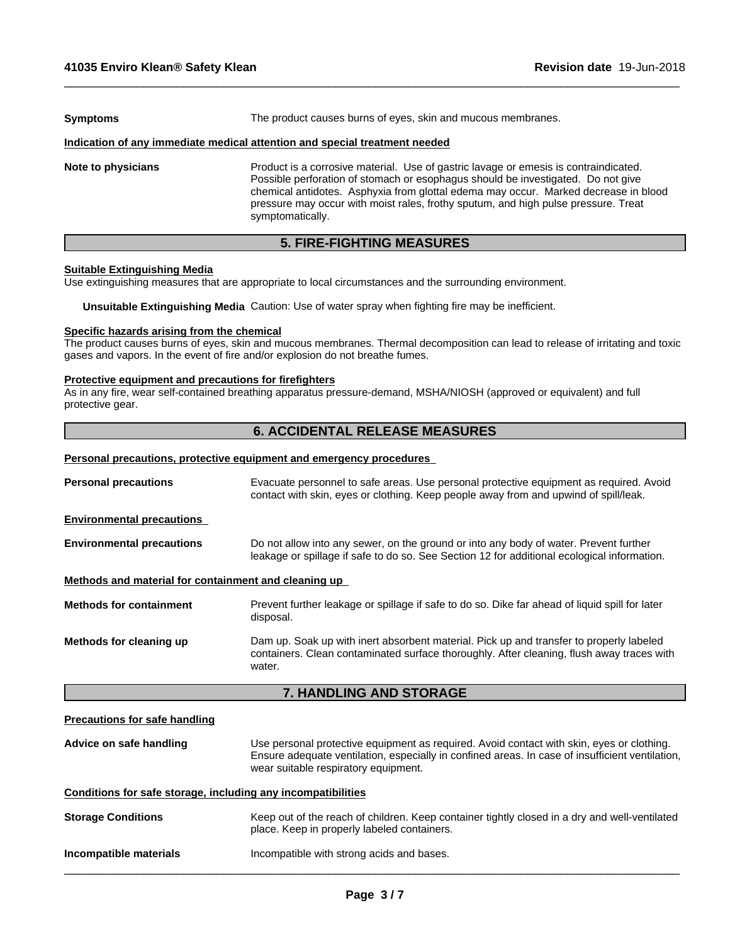| <b>Symptoms</b>                                                            | The product causes burns of eyes, skin and mucous membranes.                                                                                                                                                                                                                                                                                                              |  |  |
|----------------------------------------------------------------------------|---------------------------------------------------------------------------------------------------------------------------------------------------------------------------------------------------------------------------------------------------------------------------------------------------------------------------------------------------------------------------|--|--|
| Indication of any immediate medical attention and special treatment needed |                                                                                                                                                                                                                                                                                                                                                                           |  |  |
| Note to physicians                                                         | Product is a corrosive material. Use of gastric lavage or emesis is contraindicated.<br>Possible perforation of stomach or esophagus should be investigated. Do not give<br>chemical antidotes. Asphyxia from glottal edema may occur. Marked decrease in blood<br>pressure may occur with moist rales, frothy sputum, and high pulse pressure. Treat<br>symptomatically. |  |  |

 $\_$  ,  $\_$  ,  $\_$  ,  $\_$  ,  $\_$  ,  $\_$  ,  $\_$  ,  $\_$  ,  $\_$  ,  $\_$  ,  $\_$  ,  $\_$  ,  $\_$  ,  $\_$  ,  $\_$  ,  $\_$  ,  $\_$  ,  $\_$  ,  $\_$  ,  $\_$  ,  $\_$  ,  $\_$  ,  $\_$  ,  $\_$  ,  $\_$  ,  $\_$  ,  $\_$  ,  $\_$  ,  $\_$  ,  $\_$  ,  $\_$  ,  $\_$  ,  $\_$  ,  $\_$  ,  $\_$  ,  $\_$  ,  $\_$  ,

## **5. FIRE-FIGHTING MEASURES**

### **Suitable Extinguishing Media**

Use extinguishing measures that are appropriate to local circumstances and the surrounding environment.

**Unsuitable Extinguishing Media** Caution: Use of water spray when fighting fire may be inefficient.

#### **Specific hazards arising from the chemical**

The product causes burns of eyes, skin and mucous membranes. Thermal decomposition can lead to release of irritating and toxic gases and vapors. In the event of fire and/or explosion do not breathe fumes.

#### **Protective equipment and precautions for firefighters**

As in any fire, wear self-contained breathing apparatus pressure-demand, MSHA/NIOSH (approved or equivalent) and full protective gear.

## **6. ACCIDENTAL RELEASE MEASURES**

#### **Personal precautions, protective equipment and emergency procedures**

|                                                      | <b>7. HANDLING AND STORAGE</b>                                                                                                                                                                 |
|------------------------------------------------------|------------------------------------------------------------------------------------------------------------------------------------------------------------------------------------------------|
| Methods for cleaning up                              | Dam up. Soak up with inert absorbent material. Pick up and transfer to properly labeled<br>containers. Clean contaminated surface thoroughly. After cleaning, flush away traces with<br>water. |
| <b>Methods for containment</b>                       | Prevent further leakage or spillage if safe to do so. Dike far ahead of liquid spill for later<br>disposal.                                                                                    |
| Methods and material for containment and cleaning up |                                                                                                                                                                                                |
| <b>Environmental precautions</b>                     | Do not allow into any sewer, on the ground or into any body of water. Prevent further<br>leakage or spillage if safe to do so. See Section 12 for additional ecological information.           |
| <b>Environmental precautions</b>                     |                                                                                                                                                                                                |
| <b>Personal precautions</b>                          | Evacuate personnel to safe areas. Use personal protective equipment as required. Avoid<br>contact with skin, eyes or clothing. Keep people away from and upwind of spill/leak.                 |
|                                                      |                                                                                                                                                                                                |

### **Precautions for safe handling**

| Advice on safe handling | Use personal protective equipment as required. Avoid contact with skin, eyes or clothing.<br>Ensure adequate ventilation, especially in confined areas. In case of insufficient ventilation, |
|-------------------------|----------------------------------------------------------------------------------------------------------------------------------------------------------------------------------------------|
|                         | wear suitable respiratory equipment.                                                                                                                                                         |

#### **Conditions for safe storage, including any incompatibilities**

| <b>Storage Conditions</b> | Keep out of the reach of children. Keep container tightly closed in a dry and well-ventilated<br>place. Keep in properly labeled containers. |
|---------------------------|----------------------------------------------------------------------------------------------------------------------------------------------|
| Incompatible materials    | Incompatible with strong acids and bases.                                                                                                    |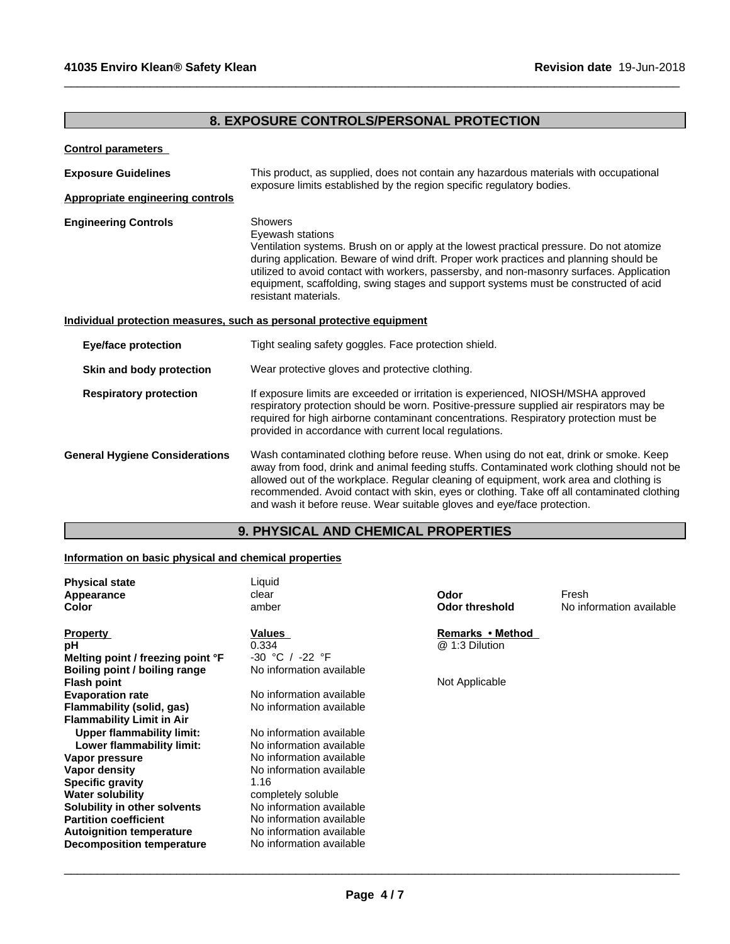# **8. EXPOSURE CONTROLS/PERSONAL PROTECTION**

 $\_$  ,  $\_$  ,  $\_$  ,  $\_$  ,  $\_$  ,  $\_$  ,  $\_$  ,  $\_$  ,  $\_$  ,  $\_$  ,  $\_$  ,  $\_$  ,  $\_$  ,  $\_$  ,  $\_$  ,  $\_$  ,  $\_$  ,  $\_$  ,  $\_$  ,  $\_$  ,  $\_$  ,  $\_$  ,  $\_$  ,  $\_$  ,  $\_$  ,  $\_$  ,  $\_$  ,  $\_$  ,  $\_$  ,  $\_$  ,  $\_$  ,  $\_$  ,  $\_$  ,  $\_$  ,  $\_$  ,  $\_$  ,  $\_$  ,

## **Control parameters**

| <b>Exposure Guidelines</b>              | This product, as supplied, does not contain any hazardous materials with occupational<br>exposure limits established by the region specific regulatory bodies.                                                                                                                                                                                                                                                                                       |  |
|-----------------------------------------|------------------------------------------------------------------------------------------------------------------------------------------------------------------------------------------------------------------------------------------------------------------------------------------------------------------------------------------------------------------------------------------------------------------------------------------------------|--|
| <b>Appropriate engineering controls</b> |                                                                                                                                                                                                                                                                                                                                                                                                                                                      |  |
| <b>Engineering Controls</b>             | <b>Showers</b><br>Eyewash stations<br>Ventilation systems. Brush on or apply at the lowest practical pressure. Do not atomize<br>during application. Beware of wind drift. Proper work practices and planning should be<br>utilized to avoid contact with workers, passersby, and non-masonry surfaces. Application<br>equipment, scaffolding, swing stages and support systems must be constructed of acid<br>resistant materials.                  |  |
|                                         | Individual protection measures, such as personal protective equipment                                                                                                                                                                                                                                                                                                                                                                                |  |
| <b>Eye/face protection</b>              | Tight sealing safety goggles. Face protection shield.                                                                                                                                                                                                                                                                                                                                                                                                |  |
| Skin and body protection                | Wear protective gloves and protective clothing.                                                                                                                                                                                                                                                                                                                                                                                                      |  |
| <b>Respiratory protection</b>           | If exposure limits are exceeded or irritation is experienced, NIOSH/MSHA approved<br>respiratory protection should be worn. Positive-pressure supplied air respirators may be<br>required for high airborne contaminant concentrations. Respiratory protection must be<br>provided in accordance with current local regulations.                                                                                                                     |  |
| <b>General Hygiene Considerations</b>   | Wash contaminated clothing before reuse. When using do not eat, drink or smoke. Keep<br>away from food, drink and animal feeding stuffs. Contaminated work clothing should not be<br>allowed out of the workplace. Regular cleaning of equipment, work area and clothing is<br>recommended. Avoid contact with skin, eyes or clothing. Take off all contaminated clothing<br>and wash it before reuse. Wear suitable gloves and eye/face protection. |  |

## **9. PHYSICAL AND CHEMICAL PROPERTIES**

## **Information on basic physical and chemical properties**

| <b>Physical state</b><br>Appearance<br>Color | Liquid<br>clear<br>amber | Odor<br><b>Odor threshold</b> | Fresh<br>No information available |
|----------------------------------------------|--------------------------|-------------------------------|-----------------------------------|
| <b>Property</b>                              | Values                   | Remarks • Method              |                                   |
| рH                                           | 0.334                    | @ 1:3 Dilution                |                                   |
| Melting point / freezing point °F            | -30 °C / -22 °F          |                               |                                   |
| Boiling point / boiling range                | No information available |                               |                                   |
| <b>Flash point</b>                           |                          | Not Applicable                |                                   |
| <b>Evaporation rate</b>                      | No information available |                               |                                   |
| Flammability (solid, gas)                    | No information available |                               |                                   |
| <b>Flammability Limit in Air</b>             |                          |                               |                                   |
| <b>Upper flammability limit:</b>             | No information available |                               |                                   |
| Lower flammability limit:                    | No information available |                               |                                   |
| Vapor pressure                               | No information available |                               |                                   |
| Vapor density                                | No information available |                               |                                   |
| <b>Specific gravity</b>                      | 1.16                     |                               |                                   |
| <b>Water solubility</b>                      | completely soluble       |                               |                                   |
| Solubility in other solvents                 | No information available |                               |                                   |
| <b>Partition coefficient</b>                 | No information available |                               |                                   |
| <b>Autoignition temperature</b>              | No information available |                               |                                   |
| <b>Decomposition temperature</b>             | No information available |                               |                                   |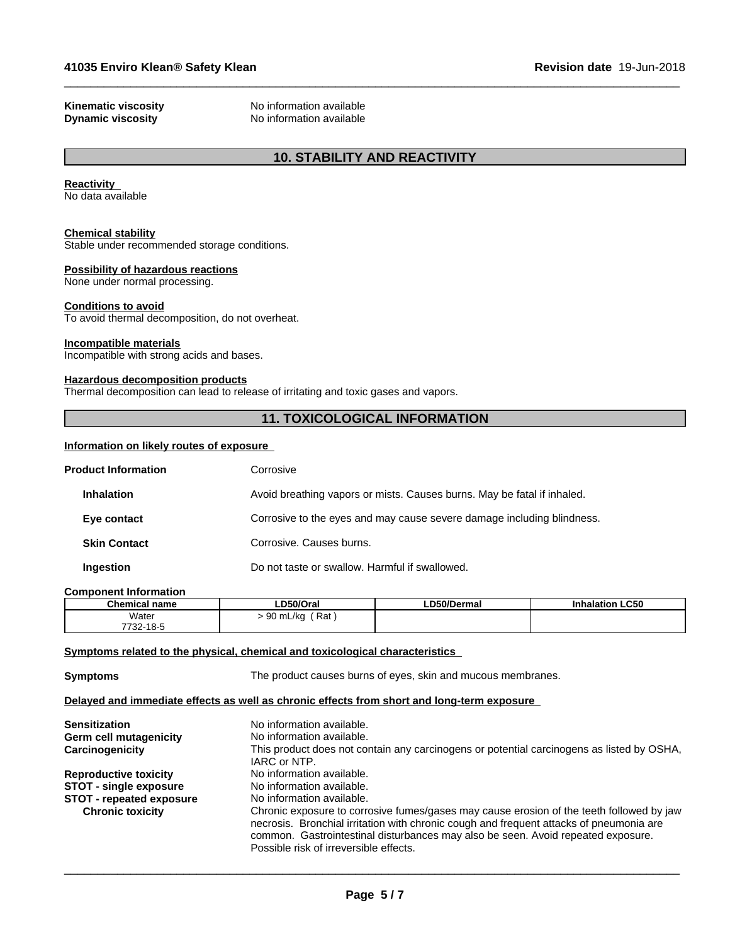**Kinematic viscosity**<br> **Community** No information available<br>
No information available **No information available** 

## **10. STABILITY AND REACTIVITY**

 $\_$  ,  $\_$  ,  $\_$  ,  $\_$  ,  $\_$  ,  $\_$  ,  $\_$  ,  $\_$  ,  $\_$  ,  $\_$  ,  $\_$  ,  $\_$  ,  $\_$  ,  $\_$  ,  $\_$  ,  $\_$  ,  $\_$  ,  $\_$  ,  $\_$  ,  $\_$  ,  $\_$  ,  $\_$  ,  $\_$  ,  $\_$  ,  $\_$  ,  $\_$  ,  $\_$  ,  $\_$  ,  $\_$  ,  $\_$  ,  $\_$  ,  $\_$  ,  $\_$  ,  $\_$  ,  $\_$  ,  $\_$  ,  $\_$  ,

#### **Reactivity**

No data available

## **Chemical stability**

Stable under recommended storage conditions.

#### **Possibility of hazardous reactions**

None under normal processing.

#### **Conditions to avoid**

To avoid thermal decomposition, do not overheat.

#### **Incompatible materials**

Incompatible with strong acids and bases.

#### **Hazardous decomposition products**

Thermal decomposition can lead to release of irritating and toxic gases and vapors.

## **11. TOXICOLOGICAL INFORMATION**

### **Information on likely routes of exposure**

| <b>Product Information</b> | Corrosive                                                               |
|----------------------------|-------------------------------------------------------------------------|
| <b>Inhalation</b>          | Avoid breathing vapors or mists. Causes burns. May be fatal if inhaled. |
| Eye contact                | Corrosive to the eyes and may cause severe damage including blindness.  |
| <b>Skin Contact</b>        | Corrosive. Causes burns.                                                |
| Ingestion                  | Do not taste or swallow. Harmful if swallowed.                          |

#### **Component Information**

| <b>Chemical</b><br>name | D50/Oral                               | .D50/Dermal | alation LC50 |
|-------------------------|----------------------------------------|-------------|--------------|
| Water                   | Rat<br>$\sim$ $\sim$<br>) mL/ka<br>. . |             |              |
| 7732-18-5               |                                        |             |              |

#### **Symptoms related to the physical, chemical and toxicological characteristics**

**Symptoms** The product causes burns of eyes, skin and mucous membranes.

#### **Delayed and immediate effects as well as chronic effects from short and long-term exposure**

| <b>Sensitization</b>            | No information available.                                                                                 |
|---------------------------------|-----------------------------------------------------------------------------------------------------------|
| Germ cell mutagenicity          | No information available.                                                                                 |
| Carcinogenicity                 | This product does not contain any carcinogens or potential carcinogens as listed by OSHA,<br>IARC or NTP. |
| <b>Reproductive toxicity</b>    | No information available.                                                                                 |
| <b>STOT - single exposure</b>   | No information available.                                                                                 |
| <b>STOT</b> - repeated exposure | No information available.                                                                                 |
| <b>Chronic toxicity</b>         | Chronic exposure to corrosive fumes/gases may cause erosion of the teeth followed by jaw                  |
|                                 | necrosis. Bronchial irritation with chronic cough and frequent attacks of pneumonia are                   |
|                                 | common. Gastrointestinal disturbances may also be seen. Avoid repeated exposure.                          |
|                                 | Possible risk of irreversible effects.                                                                    |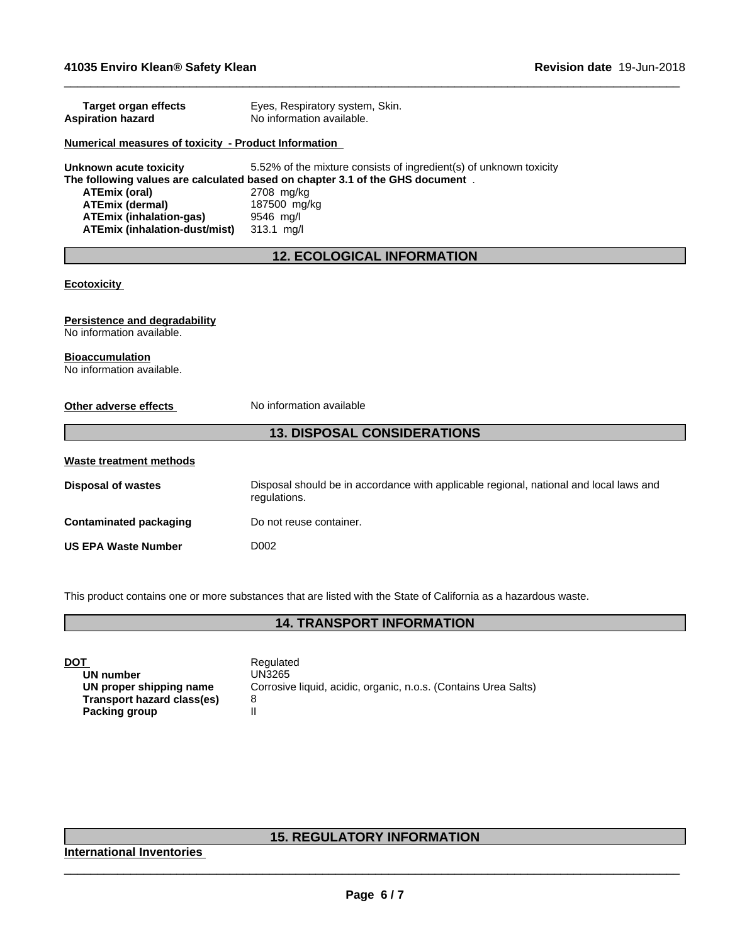| <b>Target organ effects</b><br><b>Aspiration hazard</b>           | Eyes, Respiratory system, Skin.<br>No information available.                           |
|-------------------------------------------------------------------|----------------------------------------------------------------------------------------|
| Numerical measures of toxicity - Product Information              |                                                                                        |
| Unknown acute toxicity                                            | 5.52% of the mixture consists of ingredient(s) of unknown toxicity                     |
|                                                                   | The following values are calculated based on chapter 3.1 of the GHS document.          |
| <b>ATEmix (oral)</b>                                              | 2708 mg/kg                                                                             |
| <b>ATEmix (dermal)</b>                                            | 187500 mg/kg                                                                           |
| <b>ATEmix (inhalation-gas)</b>                                    | 9546 mg/l                                                                              |
| <b>ATEmix (inhalation-dust/mist)</b>                              | 313.1 mg/l                                                                             |
|                                                                   | <b>12. ECOLOGICAL INFORMATION</b>                                                      |
|                                                                   |                                                                                        |
| <b>Ecotoxicity</b>                                                |                                                                                        |
|                                                                   |                                                                                        |
|                                                                   |                                                                                        |
| <b>Persistence and degradability</b><br>No information available. |                                                                                        |
|                                                                   |                                                                                        |
| <b>Bioaccumulation</b>                                            |                                                                                        |
| No information available.                                         |                                                                                        |
|                                                                   |                                                                                        |
| Other adverse effects                                             | No information available                                                               |
|                                                                   |                                                                                        |
|                                                                   | <b>13. DISPOSAL CONSIDERATIONS</b>                                                     |
|                                                                   |                                                                                        |
| Waste treatment methods                                           |                                                                                        |
| <b>Disposal of wastes</b>                                         | Disposal should be in accordance with applicable regional, national and local laws and |
|                                                                   | regulations.                                                                           |
|                                                                   |                                                                                        |
| <b>Contaminated packaging</b>                                     | Do not reuse container.                                                                |
| <b>US EPA Waste Number</b>                                        | D <sub>0</sub> 02                                                                      |
|                                                                   |                                                                                        |
|                                                                   |                                                                                        |

 $\_$  ,  $\_$  ,  $\_$  ,  $\_$  ,  $\_$  ,  $\_$  ,  $\_$  ,  $\_$  ,  $\_$  ,  $\_$  ,  $\_$  ,  $\_$  ,  $\_$  ,  $\_$  ,  $\_$  ,  $\_$  ,  $\_$  ,  $\_$  ,  $\_$  ,  $\_$  ,  $\_$  ,  $\_$  ,  $\_$  ,  $\_$  ,  $\_$  ,  $\_$  ,  $\_$  ,  $\_$  ,  $\_$  ,  $\_$  ,  $\_$  ,  $\_$  ,  $\_$  ,  $\_$  ,  $\_$  ,  $\_$  ,  $\_$  ,

This product contains one or more substances that are listed with the State of California as a hazardous waste.

## **14. TRANSPORT INFORMATION**

| <b>DOT</b>                 | Regulated                   |
|----------------------------|-----------------------------|
| UN number                  | <b>UN3265</b>               |
| UN proper shipping name    | Corrosive liquid, acidic, o |
| Transport hazard class(es) | 8                           |
| Packing group              | Ш                           |

**UN number** UN3265 **Corrosive liquid, acidic, organic, n.o.s. (Contains Urea Salts)** 8

# **15. REGULATORY INFORMATION**

**International Inventories**